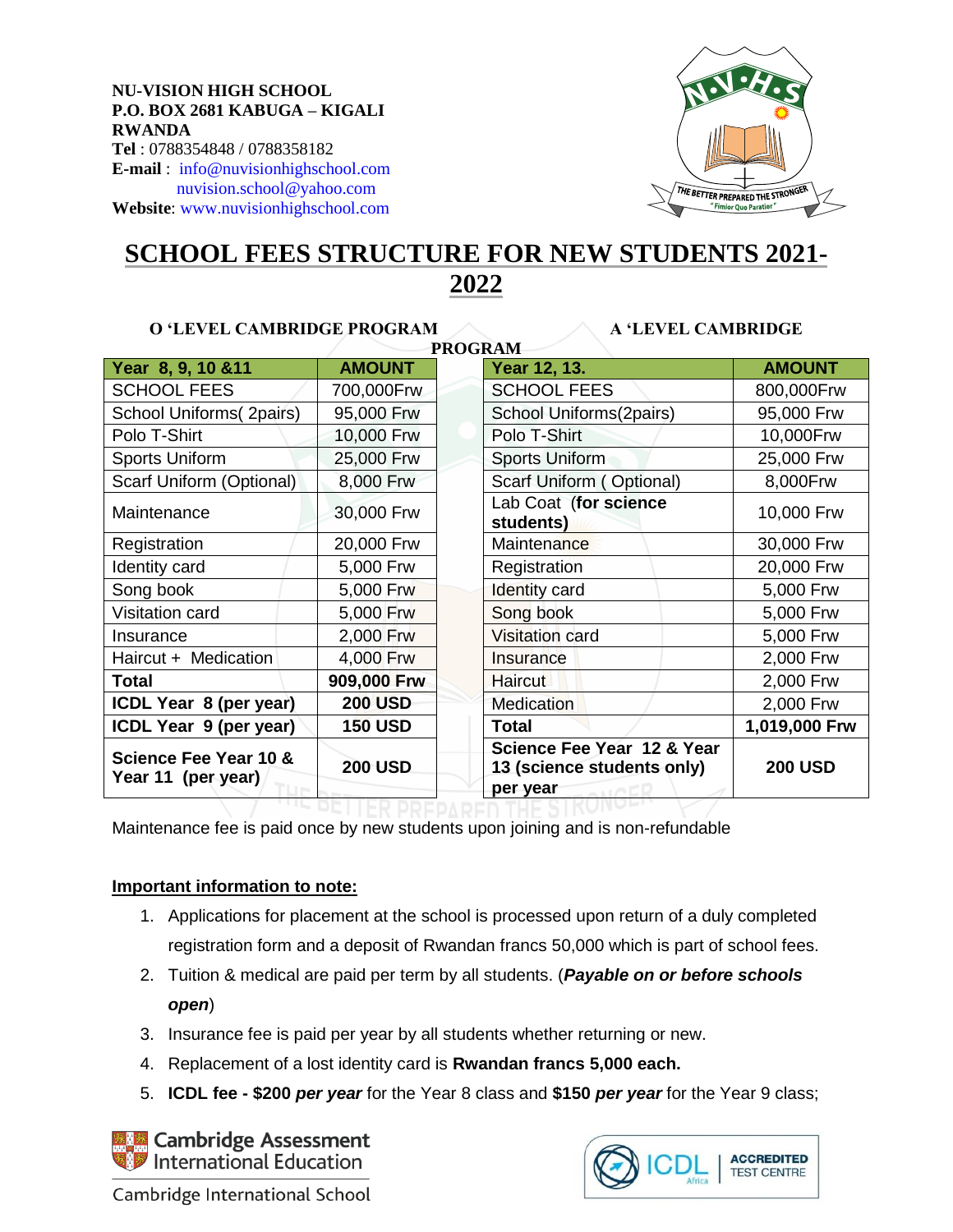### **NU-VISION HIGH SCHOOL P.O. BOX 2681 KABUGA – KIGALI RWANDA**

**Tel** : 0788354848 / 0788358182 **E-mail** : [info@nuvisionhighschool.com](mailto:info@nuvisionhighschool.com) [nuvision.school@yahoo.com](mailto:nuvision.school@yahoo.com) **Website**[: www.nuvisionhighschool.com](http://www.nuvisionhighschool.com/)



# **SCHOOL FEES STRUCTURE FOR NEW STUDENTS 2021- 2022**

**PROGRAM**

### **O 'LEVEL CAMBRIDGE PROGRAM A 'LEVEL CAMBRIDGE**

| Year 8, 9, 10 & 11                                     | <b>AMOUNT</b>  | 1 INVOINAIVI<br>Year 12, 13.                                         | <b>AMOUNT</b>  |
|--------------------------------------------------------|----------------|----------------------------------------------------------------------|----------------|
| <b>SCHOOL FEES</b>                                     | 700,000Frw     | <b>SCHOOL FEES</b>                                                   | 800,000Frw     |
|                                                        | 95,000 Frw     | School Uniforms(2pairs)                                              | 95,000 Frw     |
| School Uniforms(2pairs)                                |                |                                                                      |                |
| Polo T-Shirt                                           | 10,000 Frw     | Polo T-Shirt                                                         | 10,000Frw      |
| <b>Sports Uniform</b>                                  | 25,000 Frw     | Sports Uniform                                                       | 25,000 Frw     |
| Scarf Uniform (Optional)                               | 8,000 Frw      | Scarf Uniform (Optional)                                             | 8,000Frw       |
| Maintenance                                            | 30,000 Frw     | Lab Coat (for science<br>students)                                   | 10,000 Frw     |
| Registration                                           | 20,000 Frw     | Maintenance                                                          | 30,000 Frw     |
| Identity card                                          | 5,000 Frw      | Registration                                                         | 20,000 Frw     |
| Song book                                              | 5,000 Frw      | <b>Identity card</b>                                                 | 5,000 Frw      |
| Visitation card                                        | 5,000 Frw      | Song book                                                            | 5,000 Frw      |
| Insurance                                              | 2,000 Frw      | <b>Visitation card</b>                                               | 5,000 Frw      |
| Haircut + Medication                                   | 4,000 Frw      | Insurance                                                            | 2,000 Frw      |
| <b>Total</b>                                           | 909,000 Frw    | <b>Haircut</b>                                                       | 2,000 Frw      |
| ICDL Year 8 (per year)                                 | <b>200 USD</b> | <b>Medication</b>                                                    | 2,000 Frw      |
| ICDL Year 9 (per year)                                 | <b>150 USD</b> | Total                                                                | 1,019,000 Frw  |
| <b>Science Fee Year 10 &amp;</b><br>Year 11 (per year) | <b>200 USD</b> | Science Fee Year 12 & Year<br>13 (science students only)<br>per year | <b>200 USD</b> |

Maintenance fee is paid once by new students upon joining and is non-refundable

### **Important information to note:**

- 1. Applications for placement at the school is processed upon return of a duly completed registration form and a deposit of Rwandan francs 50,000 which is part of school fees.
- 2. Tuition & medical are paid per term by all students. (*Payable on or before schools open*)
- 3. Insurance fee is paid per year by all students whether returning or new.
- 4. Replacement of a lost identity card is **Rwandan francs 5,000 each.**
- 5. **ICDL fee - \$200** *per year* for the Year 8 class and **\$150** *per year* for the Year 9 class;

**Z** Cambridge Assessment International Education



Cambridge International School